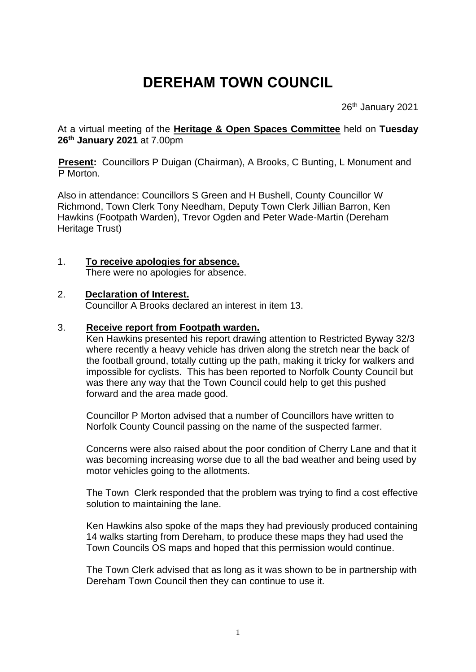# **DEREHAM TOWN COUNCIL**

26<sup>th</sup> January 2021

At a virtual meeting of the **Heritage & Open Spaces Committee** held on **Tuesday 26th January 2021** at 7.00pm

**Present:** Councillors P Duigan (Chairman), A Brooks, C Bunting, L Monument and P Morton.

Also in attendance: Councillors S Green and H Bushell, County Councillor W Richmond, Town Clerk Tony Needham, Deputy Town Clerk Jillian Barron, Ken Hawkins (Footpath Warden), Trevor Ogden and Peter Wade-Martin (Dereham Heritage Trust)

## 1. **To receive apologies for absence.**

There were no apologies for absence.

#### 2. **Declaration of Interest.**

Councillor A Brooks declared an interest in item 13.

#### 3. **Receive report from Footpath warden.**

Ken Hawkins presented his report drawing attention to Restricted Byway 32/3 where recently a heavy vehicle has driven along the stretch near the back of the football ground, totally cutting up the path, making it tricky for walkers and impossible for cyclists. This has been reported to Norfolk County Council but was there any way that the Town Council could help to get this pushed forward and the area made good.

Councillor P Morton advised that a number of Councillors have written to Norfolk County Council passing on the name of the suspected farmer.

Concerns were also raised about the poor condition of Cherry Lane and that it was becoming increasing worse due to all the bad weather and being used by motor vehicles going to the allotments.

The Town Clerk responded that the problem was trying to find a cost effective solution to maintaining the lane.

Ken Hawkins also spoke of the maps they had previously produced containing 14 walks starting from Dereham, to produce these maps they had used the Town Councils OS maps and hoped that this permission would continue.

The Town Clerk advised that as long as it was shown to be in partnership with Dereham Town Council then they can continue to use it.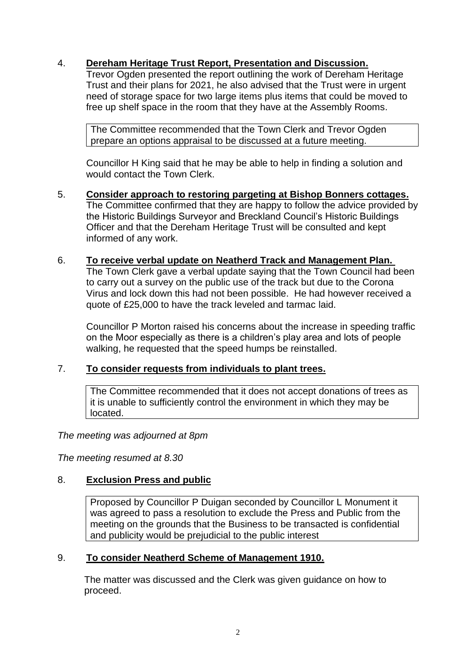## 4. **Dereham Heritage Trust Report, Presentation and Discussion.**

Trevor Ogden presented the report outlining the work of Dereham Heritage Trust and their plans for 2021, he also advised that the Trust were in urgent need of storage space for two large items plus items that could be moved to free up shelf space in the room that they have at the Assembly Rooms.

The Committee recommended that the Town Clerk and Trevor Ogden prepare an options appraisal to be discussed at a future meeting.

Councillor H King said that he may be able to help in finding a solution and would contact the Town Clerk.

- 5. **Consider approach to restoring pargeting at Bishop Bonners cottages.** The Committee confirmed that they are happy to follow the advice provided by the Historic Buildings Surveyor and Breckland Council's Historic Buildings Officer and that the Dereham Heritage Trust will be consulted and kept informed of any work.
- 6. **To receive verbal update on Neatherd Track and Management Plan.**  The Town Clerk gave a verbal update saying that the Town Council had been to carry out a survey on the public use of the track but due to the Corona Virus and lock down this had not been possible. He had however received a quote of £25,000 to have the track leveled and tarmac laid.

Councillor P Morton raised his concerns about the increase in speeding traffic on the Moor especially as there is a children's play area and lots of people walking, he requested that the speed humps be reinstalled.

## 7. **To consider requests from individuals to plant trees.**

The Committee recommended that it does not accept donations of trees as it is unable to sufficiently control the environment in which they may be located.

*The meeting was adjourned at 8pm*

*The meeting resumed at 8.30*

## 8. **Exclusion Press and public**

Proposed by Councillor P Duigan seconded by Councillor L Monument it was agreed to pass a resolution to exclude the Press and Public from the meeting on the grounds that the Business to be transacted is confidential and publicity would be prejudicial to the public interest

## 9. **To consider Neatherd Scheme of Management 1910.**

 The matter was discussed and the Clerk was given guidance on how to proceed.